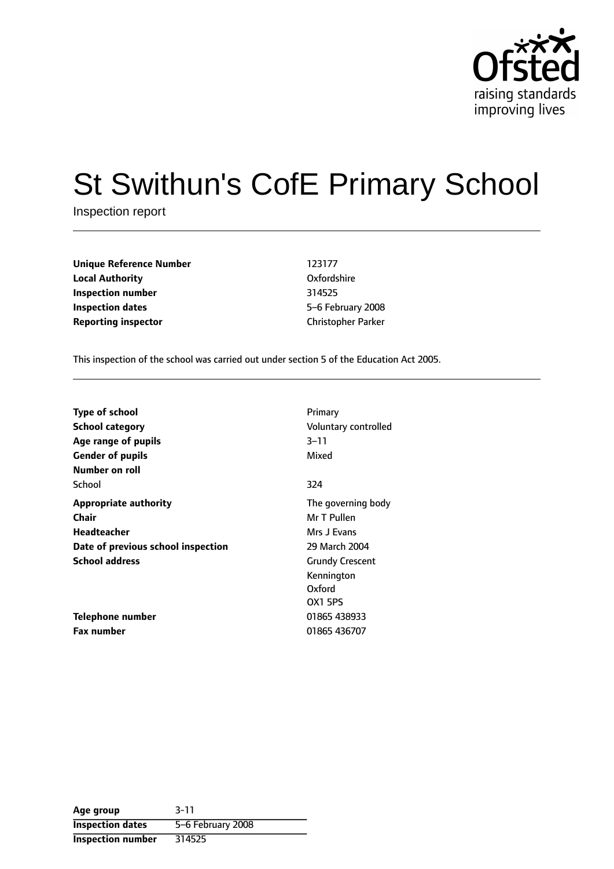

# St Swithun's CofE Primary School

Inspection report

**Unique Reference Number** 123177 **Local Authority** Oxfordshire **Inspection number** 314525 **Inspection dates** 65-6 February 2008 **Reporting inspector** Christopher Parker

This inspection of the school was carried out under section 5 of the Education Act 2005.

| <b>Type of school</b><br><b>School category</b><br>Age range of pupils<br><b>Gender of pupils</b> | Primary<br>Voluntary controlled<br>3–11<br>Mixed                 |
|---------------------------------------------------------------------------------------------------|------------------------------------------------------------------|
| Number on roll<br>School                                                                          | 324                                                              |
| <b>Appropriate authority</b><br>Chair                                                             | The governing body<br>Mr T Pullen                                |
| Headteacher                                                                                       | Mrs J Evans                                                      |
| Date of previous school inspection                                                                | 29 March 2004                                                    |
| <b>School address</b>                                                                             | <b>Grundy Crescent</b><br>Kennington<br>Oxford<br><b>OX1 5PS</b> |
| Telephone number                                                                                  | 01865 438933                                                     |
| <b>Fax number</b>                                                                                 | 01865 436707                                                     |

| Age group                | $3 - 11$          |
|--------------------------|-------------------|
| <b>Inspection dates</b>  | 5-6 February 2008 |
| <b>Inspection number</b> | 314525            |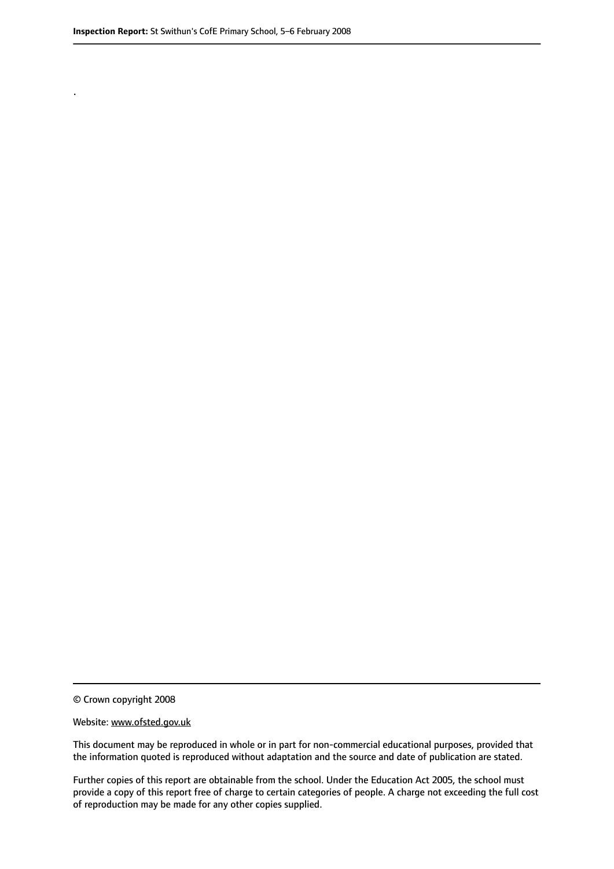.

© Crown copyright 2008

#### Website: www.ofsted.gov.uk

This document may be reproduced in whole or in part for non-commercial educational purposes, provided that the information quoted is reproduced without adaptation and the source and date of publication are stated.

Further copies of this report are obtainable from the school. Under the Education Act 2005, the school must provide a copy of this report free of charge to certain categories of people. A charge not exceeding the full cost of reproduction may be made for any other copies supplied.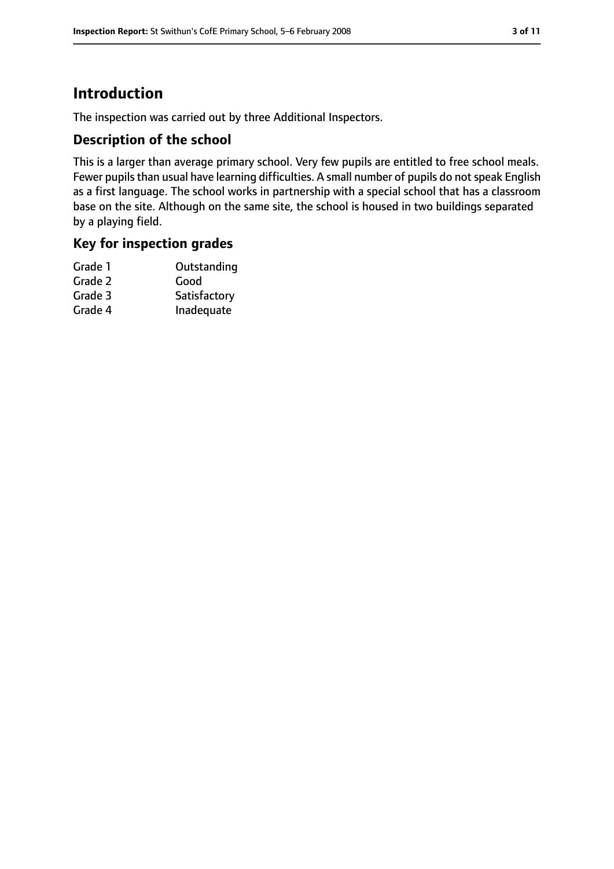# **Introduction**

The inspection was carried out by three Additional Inspectors.

## **Description of the school**

This is a larger than average primary school. Very few pupils are entitled to free school meals. Fewer pupils than usual have learning difficulties. A small number of pupils do not speak English as a first language. The school works in partnership with a special school that has a classroom base on the site. Although on the same site, the school is housed in two buildings separated by a playing field.

## **Key for inspection grades**

| Grade 1 | Outstanding  |
|---------|--------------|
| Grade 2 | Good         |
| Grade 3 | Satisfactory |
| Grade 4 | Inadequate   |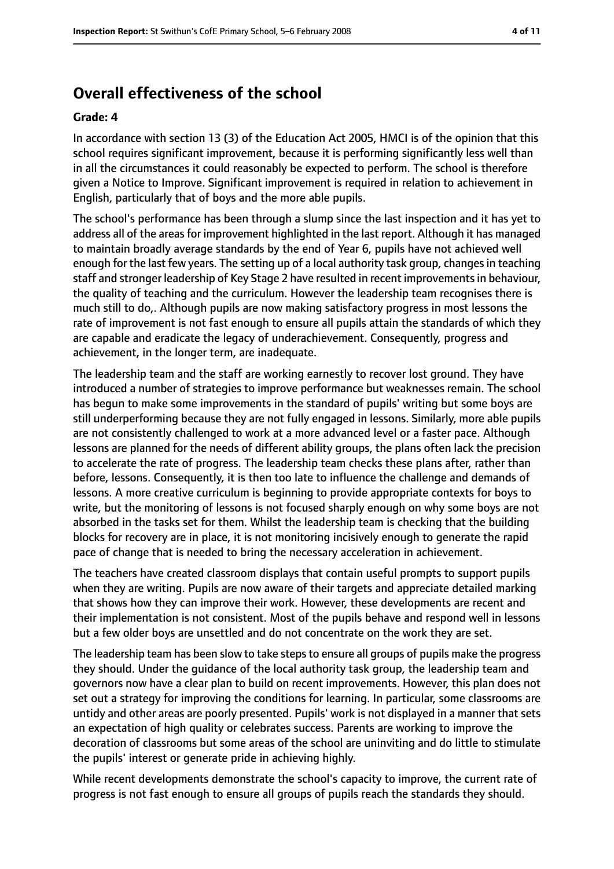# **Overall effectiveness of the school**

#### **Grade: 4**

In accordance with section 13 (3) of the Education Act 2005, HMCI is of the opinion that this school requires significant improvement, because it is performing significantly less well than in all the circumstances it could reasonably be expected to perform. The school is therefore given a Notice to Improve. Significant improvement is required in relation to achievement in English, particularly that of boys and the more able pupils.

The school's performance has been through a slump since the last inspection and it has yet to address all of the areas for improvement highlighted in the last report. Although it has managed to maintain broadly average standards by the end of Year 6, pupils have not achieved well enough for the last few years. The setting up of a local authority task group, changesin teaching staff and stronger leadership of Key Stage 2 have resulted in recent improvements in behaviour, the quality of teaching and the curriculum. However the leadership team recognises there is much still to do,. Although pupils are now making satisfactory progress in most lessons the rate of improvement is not fast enough to ensure all pupils attain the standards of which they are capable and eradicate the legacy of underachievement. Consequently, progress and achievement, in the longer term, are inadequate.

The leadership team and the staff are working earnestly to recover lost ground. They have introduced a number of strategies to improve performance but weaknesses remain. The school has begun to make some improvements in the standard of pupils' writing but some boys are still underperforming because they are not fully engaged in lessons. Similarly, more able pupils are not consistently challenged to work at a more advanced level or a faster pace. Although lessons are planned for the needs of different ability groups, the plans often lack the precision to accelerate the rate of progress. The leadership team checks these plans after, rather than before, lessons. Consequently, it is then too late to influence the challenge and demands of lessons. A more creative curriculum is beginning to provide appropriate contexts for boys to write, but the monitoring of lessons is not focused sharply enough on why some boys are not absorbed in the tasks set for them. Whilst the leadership team is checking that the building blocks for recovery are in place, it is not monitoring incisively enough to generate the rapid pace of change that is needed to bring the necessary acceleration in achievement.

The teachers have created classroom displays that contain useful prompts to support pupils when they are writing. Pupils are now aware of their targets and appreciate detailed marking that shows how they can improve their work. However, these developments are recent and their implementation is not consistent. Most of the pupils behave and respond well in lessons but a few older boys are unsettled and do not concentrate on the work they are set.

The leadership team has been slow to take steps to ensure all groups of pupils make the progress they should. Under the guidance of the local authority task group, the leadership team and governors now have a clear plan to build on recent improvements. However, this plan does not set out a strategy for improving the conditions for learning. In particular, some classrooms are untidy and other areas are poorly presented. Pupils' work is not displayed in a manner that sets an expectation of high quality or celebrates success. Parents are working to improve the decoration of classrooms but some areas of the school are uninviting and do little to stimulate the pupils' interest or generate pride in achieving highly.

While recent developments demonstrate the school's capacity to improve, the current rate of progress is not fast enough to ensure all groups of pupils reach the standards they should.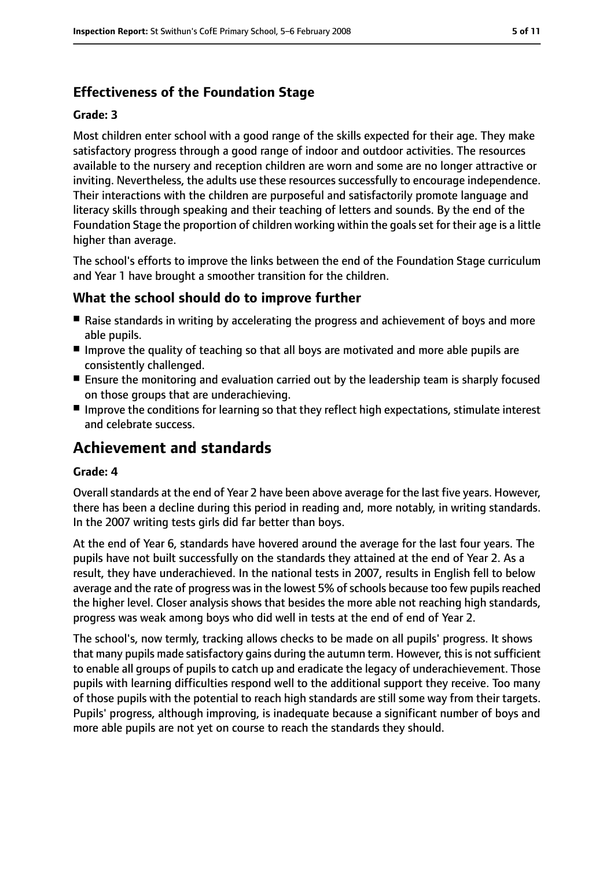# **Effectiveness of the Foundation Stage**

#### **Grade: 3**

Most children enter school with a good range of the skills expected for their age. They make satisfactory progress through a good range of indoor and outdoor activities. The resources available to the nursery and reception children are worn and some are no longer attractive or inviting. Nevertheless, the adults use these resources successfully to encourage independence. Their interactions with the children are purposeful and satisfactorily promote language and literacy skills through speaking and their teaching of letters and sounds. By the end of the Foundation Stage the proportion of children working within the goals set for their age is a little higher than average.

The school's efforts to improve the links between the end of the Foundation Stage curriculum and Year 1 have brought a smoother transition for the children.

## **What the school should do to improve further**

- Raise standards in writing by accelerating the progress and achievement of boys and more able pupils.
- Improve the quality of teaching so that all boys are motivated and more able pupils are consistently challenged.
- Ensure the monitoring and evaluation carried out by the leadership team is sharply focused on those groups that are underachieving.
- Improve the conditions for learning so that they reflect high expectations, stimulate interest and celebrate success.

# **Achievement and standards**

#### **Grade: 4**

Overall standards at the end of Year 2 have been above average for the last five years. However, there has been a decline during this period in reading and, more notably, in writing standards. In the 2007 writing tests girls did far better than boys.

At the end of Year 6, standards have hovered around the average for the last four years. The pupils have not built successfully on the standards they attained at the end of Year 2. As a result, they have underachieved. In the national tests in 2007, results in English fell to below average and the rate of progress was in the lowest 5% of schools because too few pupils reached the higher level. Closer analysis shows that besides the more able not reaching high standards, progress was weak among boys who did well in tests at the end of end of Year 2.

The school's, now termly, tracking allows checks to be made on all pupils' progress. It shows that many pupils made satisfactory gains during the autumn term. However, this is not sufficient to enable all groups of pupils to catch up and eradicate the legacy of underachievement. Those pupils with learning difficulties respond well to the additional support they receive. Too many of those pupils with the potential to reach high standards are still some way from their targets. Pupils' progress, although improving, is inadequate because a significant number of boys and more able pupils are not yet on course to reach the standards they should.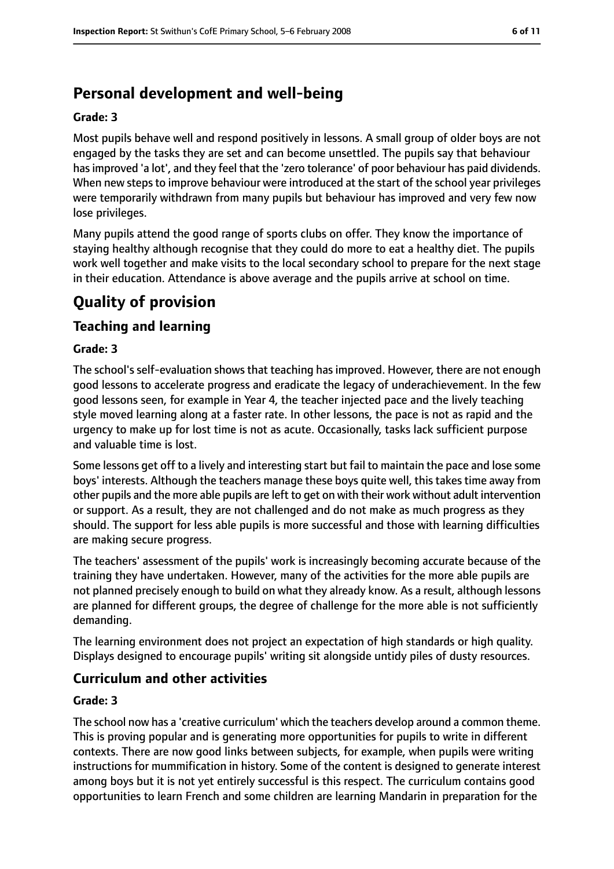# **Personal development and well-being**

#### **Grade: 3**

Most pupils behave well and respond positively in lessons. A small group of older boys are not engaged by the tasks they are set and can become unsettled. The pupils say that behaviour hasimproved 'a lot', and they feel that the 'zero tolerance' of poor behaviour has paid dividends. When new steps to improve behaviour were introduced at the start of the school year privileges were temporarily withdrawn from many pupils but behaviour has improved and very few now lose privileges.

Many pupils attend the good range of sports clubs on offer. They know the importance of staying healthy although recognise that they could do more to eat a healthy diet. The pupils work well together and make visits to the local secondary school to prepare for the next stage in their education. Attendance is above average and the pupils arrive at school on time.

# **Quality of provision**

## **Teaching and learning**

#### **Grade: 3**

The school's self-evaluation shows that teaching has improved. However, there are not enough good lessons to accelerate progress and eradicate the legacy of underachievement. In the few good lessons seen, for example in Year 4, the teacher injected pace and the lively teaching style moved learning along at a faster rate. In other lessons, the pace is not as rapid and the urgency to make up for lost time is not as acute. Occasionally, tasks lack sufficient purpose and valuable time is lost.

Some lessons get off to a lively and interesting start but fail to maintain the pace and lose some boys' interests. Although the teachers manage these boys quite well, this takes time away from other pupils and the more able pupils are left to get on with their work without adult intervention or support. As a result, they are not challenged and do not make as much progress as they should. The support for less able pupils is more successful and those with learning difficulties are making secure progress.

The teachers' assessment of the pupils' work is increasingly becoming accurate because of the training they have undertaken. However, many of the activities for the more able pupils are not planned precisely enough to build on what they already know. As a result, although lessons are planned for different groups, the degree of challenge for the more able is not sufficiently demanding.

The learning environment does not project an expectation of high standards or high quality. Displays designed to encourage pupils' writing sit alongside untidy piles of dusty resources.

# **Curriculum and other activities**

#### **Grade: 3**

The school now has a 'creative curriculum' which the teachers develop around a common theme. This is proving popular and is generating more opportunities for pupils to write in different contexts. There are now good links between subjects, for example, when pupils were writing instructions for mummification in history. Some of the content is designed to generate interest among boys but it is not yet entirely successful is this respect. The curriculum contains good opportunities to learn French and some children are learning Mandarin in preparation for the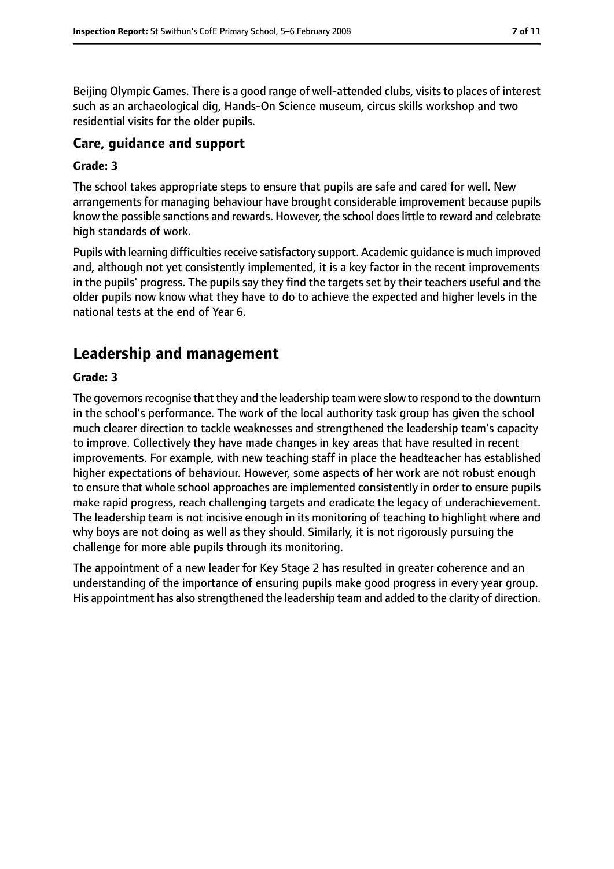Beijing Olympic Games. There is a good range of well-attended clubs, visits to places of interest such as an archaeological dig, Hands-On Science museum, circus skills workshop and two residential visits for the older pupils.

# **Care, guidance and support**

#### **Grade: 3**

The school takes appropriate steps to ensure that pupils are safe and cared for well. New arrangements for managing behaviour have brought considerable improvement because pupils know the possible sanctions and rewards. However, the school does little to reward and celebrate high standards of work.

Pupils with learning difficulties receive satisfactory support. Academic guidance is much improved and, although not yet consistently implemented, it is a key factor in the recent improvements in the pupils' progress. The pupils say they find the targets set by their teachers useful and the older pupils now know what they have to do to achieve the expected and higher levels in the national tests at the end of Year 6.

# **Leadership and management**

#### **Grade: 3**

The governors recognise that they and the leadership team were slow to respond to the downturn in the school's performance. The work of the local authority task group has given the school much clearer direction to tackle weaknesses and strengthened the leadership team's capacity to improve. Collectively they have made changes in key areas that have resulted in recent improvements. For example, with new teaching staff in place the headteacher has established higher expectations of behaviour. However, some aspects of her work are not robust enough to ensure that whole school approaches are implemented consistently in order to ensure pupils make rapid progress, reach challenging targets and eradicate the legacy of underachievement. The leadership team is not incisive enough in its monitoring of teaching to highlight where and why boys are not doing as well as they should. Similarly, it is not rigorously pursuing the challenge for more able pupils through its monitoring.

The appointment of a new leader for Key Stage 2 has resulted in greater coherence and an understanding of the importance of ensuring pupils make good progress in every year group. His appointment has also strengthened the leadership team and added to the clarity of direction.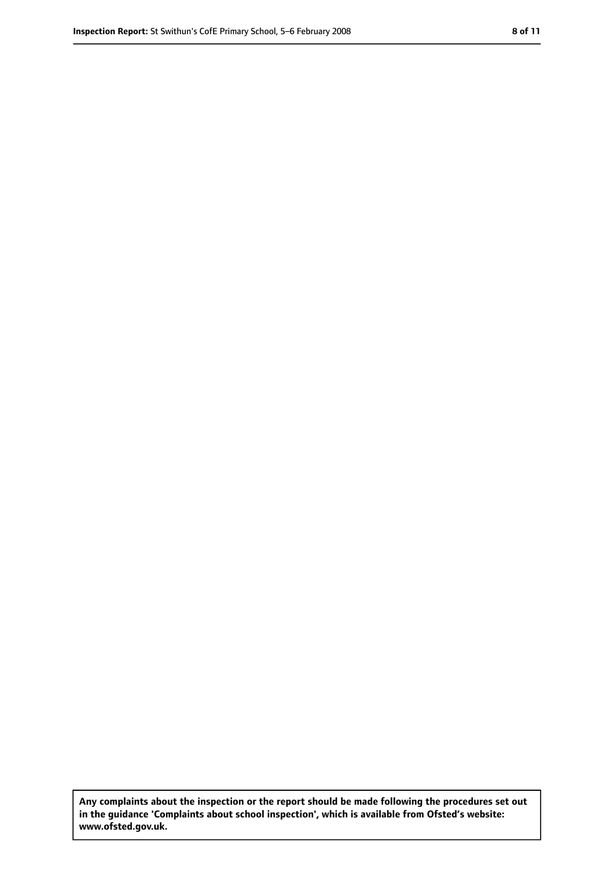**Any complaints about the inspection or the report should be made following the procedures set out in the guidance 'Complaints about school inspection', which is available from Ofsted's website: www.ofsted.gov.uk.**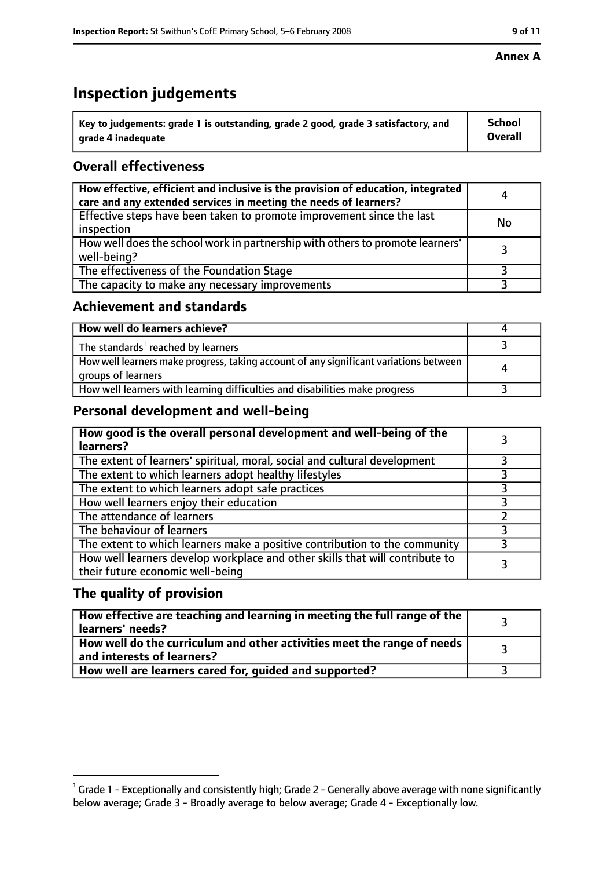# **Inspection judgements**

| $^{\backprime}$ Key to judgements: grade 1 is outstanding, grade 2 good, grade 3 satisfactory, and | <b>School</b>  |
|----------------------------------------------------------------------------------------------------|----------------|
| arade 4 inadequate                                                                                 | <b>Overall</b> |

# **Overall effectiveness**

| How effective, efficient and inclusive is the provision of education, integrated<br>care and any extended services in meeting the needs of learners? | 4         |
|------------------------------------------------------------------------------------------------------------------------------------------------------|-----------|
| Effective steps have been taken to promote improvement since the last<br>inspection                                                                  | <b>No</b> |
| How well does the school work in partnership with others to promote learners'<br>well-being?                                                         |           |
| The effectiveness of the Foundation Stage                                                                                                            |           |
| The capacity to make any necessary improvements                                                                                                      |           |

## **Achievement and standards**

| How well do learners achieve?                                                                               |  |
|-------------------------------------------------------------------------------------------------------------|--|
| The standards <sup>1</sup> reached by learners                                                              |  |
| How well learners make progress, taking account of any significant variations between<br>groups of learners |  |
| How well learners with learning difficulties and disabilities make progress                                 |  |

# **Personal development and well-being**

| How good is the overall personal development and well-being of the<br>learners?                                  |  |
|------------------------------------------------------------------------------------------------------------------|--|
| The extent of learners' spiritual, moral, social and cultural development                                        |  |
| The extent to which learners adopt healthy lifestyles                                                            |  |
| The extent to which learners adopt safe practices                                                                |  |
| How well learners enjoy their education                                                                          |  |
| The attendance of learners                                                                                       |  |
| The behaviour of learners                                                                                        |  |
| The extent to which learners make a positive contribution to the community                                       |  |
| How well learners develop workplace and other skills that will contribute to<br>their future economic well-being |  |

## **The quality of provision**

| How effective are teaching and learning in meeting the full range of the<br>learners' needs?          |  |
|-------------------------------------------------------------------------------------------------------|--|
| How well do the curriculum and other activities meet the range of needs<br>and interests of learners? |  |
| How well are learners cared for, guided and supported?                                                |  |

### **Annex A**

 $^1$  Grade 1 - Exceptionally and consistently high; Grade 2 - Generally above average with none significantly below average; Grade 3 - Broadly average to below average; Grade 4 - Exceptionally low.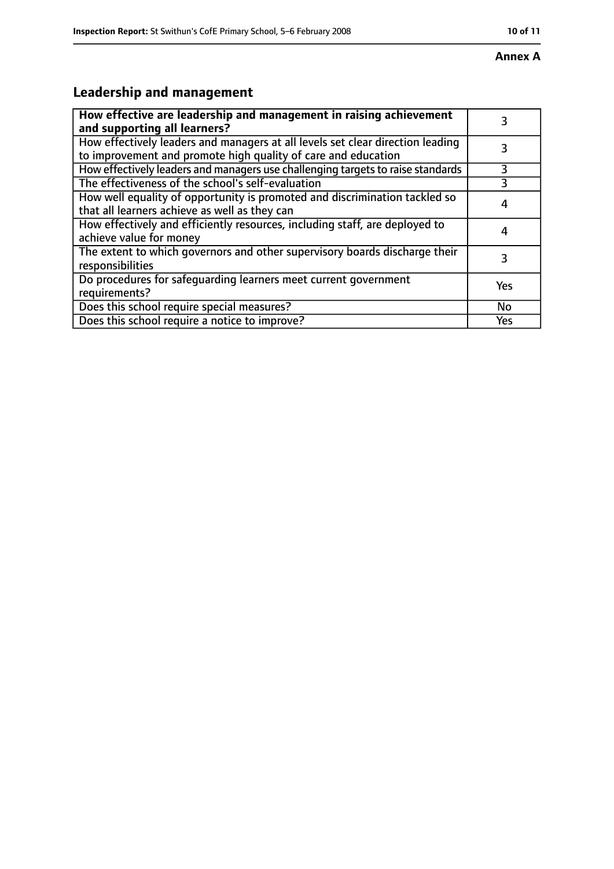# **Leadership and management**

| How effective are leadership and management in raising achievement<br>and supporting all learners?                                              | 3         |
|-------------------------------------------------------------------------------------------------------------------------------------------------|-----------|
| How effectively leaders and managers at all levels set clear direction leading<br>to improvement and promote high quality of care and education |           |
| How effectively leaders and managers use challenging targets to raise standards                                                                 | 3         |
| The effectiveness of the school's self-evaluation                                                                                               |           |
| How well equality of opportunity is promoted and discrimination tackled so<br>that all learners achieve as well as they can                     | 4         |
| How effectively and efficiently resources, including staff, are deployed to<br>achieve value for money                                          | 4         |
| The extent to which governors and other supervisory boards discharge their<br>responsibilities                                                  | 3         |
| Do procedures for safequarding learners meet current government<br>requirements?                                                                | Yes       |
| Does this school require special measures?                                                                                                      | <b>No</b> |
| Does this school require a notice to improve?                                                                                                   | Yes       |